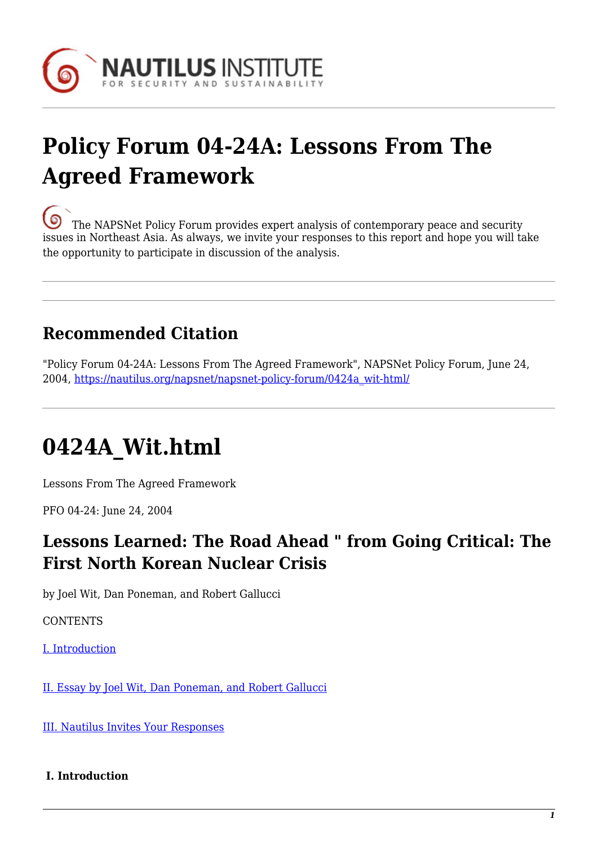

# **Policy Forum 04-24A: Lessons From The Agreed Framework**

[T](https://nautilus.org/wp-content/uploads/2013/05/nautilus-logo-small.png)he NAPSNet Policy Forum provides expert analysis of contemporary peace and security issues in Northeast Asia. As always, we invite your responses to this report and hope you will take the opportunity to participate in discussion of the analysis.

### **Recommended Citation**

"Policy Forum 04-24A: Lessons From The Agreed Framework", NAPSNet Policy Forum, June 24, 2004, [https://nautilus.org/napsnet/napsnet-policy-forum/0424a\\_wit-html/](https://nautilus.org/napsnet/napsnet-policy-forum/0424a_wit-html/)

## **0424A\_Wit.html**

Lessons From The Agreed Framework

PFO 04-24: June 24, 2004

### **Lessons Learned: The Road Ahead " from Going Critical: The First North Korean Nuclear Crisis**

by Joel Wit, Dan Poneman, and Robert Gallucci

**CONTENTS** 

[I. Introduction](#page-0-0)

[II. Essay by Joel Wit, Dan Poneman, and Robert Gallucci](#page-1-0)

[III. Nautilus Invites Your Responses](#page-8-0)

#### <span id="page-0-0"></span> **I. Introduction**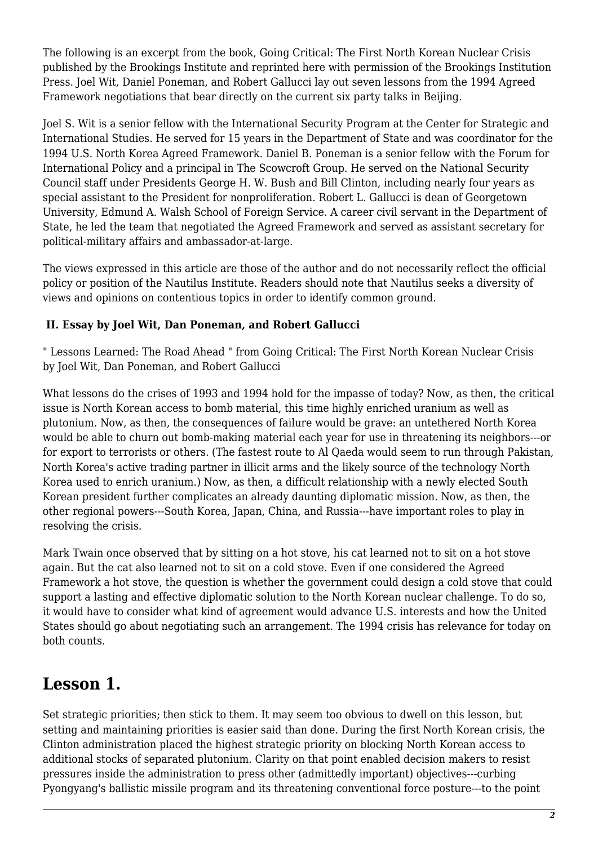The following is an excerpt from the book, Going Critical: The First North Korean Nuclear Crisis published by the Brookings Institute and reprinted here with permission of the Brookings Institution Press. Joel Wit, Daniel Poneman, and Robert Gallucci lay out seven lessons from the 1994 Agreed Framework negotiations that bear directly on the current six party talks in Beijing.

Joel S. Wit is a senior fellow with the International Security Program at the Center for Strategic and International Studies. He served for 15 years in the Department of State and was coordinator for the 1994 U.S. North Korea Agreed Framework. Daniel B. Poneman is a senior fellow with the Forum for International Policy and a principal in The Scowcroft Group. He served on the National Security Council staff under Presidents George H. W. Bush and Bill Clinton, including nearly four years as special assistant to the President for nonproliferation. Robert L. Gallucci is dean of Georgetown University, Edmund A. Walsh School of Foreign Service. A career civil servant in the Department of State, he led the team that negotiated the Agreed Framework and served as assistant secretary for political-military affairs and ambassador-at-large.

The views expressed in this article are those of the author and do not necessarily reflect the official policy or position of the Nautilus Institute. Readers should note that Nautilus seeks a diversity of views and opinions on contentious topics in order to identify common ground.

#### <span id="page-1-0"></span> **II. Essay by Joel Wit, Dan Poneman, and Robert Gallucci**

" Lessons Learned: The Road Ahead " from Going Critical: The First North Korean Nuclear Crisis by Joel Wit, Dan Poneman, and Robert Gallucci

What lessons do the crises of 1993 and 1994 hold for the impasse of today? Now, as then, the critical issue is North Korean access to bomb material, this time highly enriched uranium as well as plutonium. Now, as then, the consequences of failure would be grave: an untethered North Korea would be able to churn out bomb-making material each year for use in threatening its neighbors---or for export to terrorists or others. (The fastest route to Al Qaeda would seem to run through Pakistan, North Korea's active trading partner in illicit arms and the likely source of the technology North Korea used to enrich uranium.) Now, as then, a difficult relationship with a newly elected South Korean president further complicates an already daunting diplomatic mission. Now, as then, the other regional powers---South Korea, Japan, China, and Russia---have important roles to play in resolving the crisis.

Mark Twain once observed that by sitting on a hot stove, his cat learned not to sit on a hot stove again. But the cat also learned not to sit on a cold stove. Even if one considered the Agreed Framework a hot stove, the question is whether the government could design a cold stove that could support a lasting and effective diplomatic solution to the North Korean nuclear challenge. To do so, it would have to consider what kind of agreement would advance U.S. interests and how the United States should go about negotiating such an arrangement. The 1994 crisis has relevance for today on both counts.

#### **Lesson 1.**

Set strategic priorities; then stick to them. It may seem too obvious to dwell on this lesson, but setting and maintaining priorities is easier said than done. During the first North Korean crisis, the Clinton administration placed the highest strategic priority on blocking North Korean access to additional stocks of separated plutonium. Clarity on that point enabled decision makers to resist pressures inside the administration to press other (admittedly important) objectives---curbing Pyongyang's ballistic missile program and its threatening conventional force posture---to the point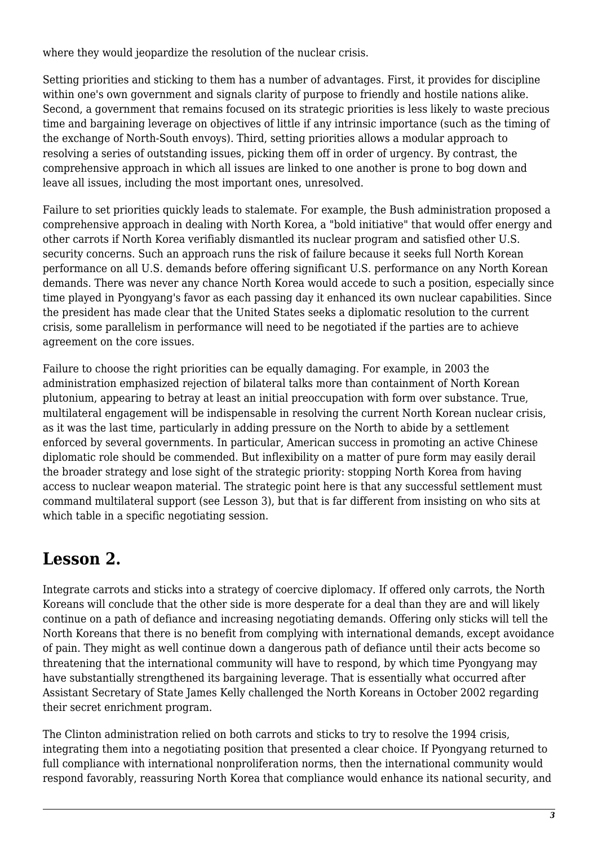where they would jeopardize the resolution of the nuclear crisis.

Setting priorities and sticking to them has a number of advantages. First, it provides for discipline within one's own government and signals clarity of purpose to friendly and hostile nations alike. Second, a government that remains focused on its strategic priorities is less likely to waste precious time and bargaining leverage on objectives of little if any intrinsic importance (such as the timing of the exchange of North-South envoys). Third, setting priorities allows a modular approach to resolving a series of outstanding issues, picking them off in order of urgency. By contrast, the comprehensive approach in which all issues are linked to one another is prone to bog down and leave all issues, including the most important ones, unresolved.

Failure to set priorities quickly leads to stalemate. For example, the Bush administration proposed a comprehensive approach in dealing with North Korea, a "bold initiative" that would offer energy and other carrots if North Korea verifiably dismantled its nuclear program and satisfied other U.S. security concerns. Such an approach runs the risk of failure because it seeks full North Korean performance on all U.S. demands before offering significant U.S. performance on any North Korean demands. There was never any chance North Korea would accede to such a position, especially since time played in Pyongyang's favor as each passing day it enhanced its own nuclear capabilities. Since the president has made clear that the United States seeks a diplomatic resolution to the current crisis, some parallelism in performance will need to be negotiated if the parties are to achieve agreement on the core issues.

Failure to choose the right priorities can be equally damaging. For example, in 2003 the administration emphasized rejection of bilateral talks more than containment of North Korean plutonium, appearing to betray at least an initial preoccupation with form over substance. True, multilateral engagement will be indispensable in resolving the current North Korean nuclear crisis, as it was the last time, particularly in adding pressure on the North to abide by a settlement enforced by several governments. In particular, American success in promoting an active Chinese diplomatic role should be commended. But inflexibility on a matter of pure form may easily derail the broader strategy and lose sight of the strategic priority: stopping North Korea from having access to nuclear weapon material. The strategic point here is that any successful settlement must command multilateral support (see Lesson 3), but that is far different from insisting on who sits at which table in a specific negotiating session.

### **Lesson 2.**

Integrate carrots and sticks into a strategy of coercive diplomacy. If offered only carrots, the North Koreans will conclude that the other side is more desperate for a deal than they are and will likely continue on a path of defiance and increasing negotiating demands. Offering only sticks will tell the North Koreans that there is no benefit from complying with international demands, except avoidance of pain. They might as well continue down a dangerous path of defiance until their acts become so threatening that the international community will have to respond, by which time Pyongyang may have substantially strengthened its bargaining leverage. That is essentially what occurred after Assistant Secretary of State James Kelly challenged the North Koreans in October 2002 regarding their secret enrichment program.

The Clinton administration relied on both carrots and sticks to try to resolve the 1994 crisis, integrating them into a negotiating position that presented a clear choice. If Pyongyang returned to full compliance with international nonproliferation norms, then the international community would respond favorably, reassuring North Korea that compliance would enhance its national security, and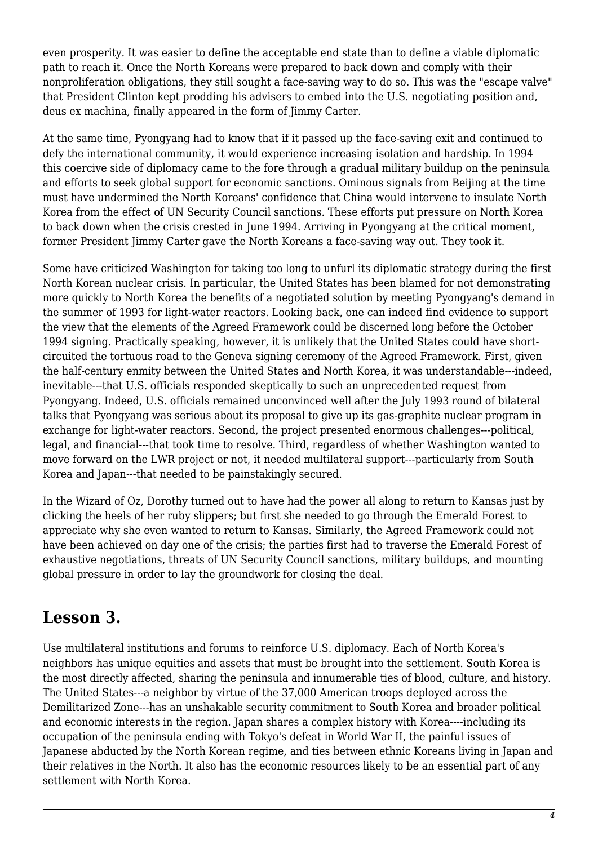even prosperity. It was easier to define the acceptable end state than to define a viable diplomatic path to reach it. Once the North Koreans were prepared to back down and comply with their nonproliferation obligations, they still sought a face-saving way to do so. This was the "escape valve" that President Clinton kept prodding his advisers to embed into the U.S. negotiating position and, deus ex machina, finally appeared in the form of Jimmy Carter.

At the same time, Pyongyang had to know that if it passed up the face-saving exit and continued to defy the international community, it would experience increasing isolation and hardship. In 1994 this coercive side of diplomacy came to the fore through a gradual military buildup on the peninsula and efforts to seek global support for economic sanctions. Ominous signals from Beijing at the time must have undermined the North Koreans' confidence that China would intervene to insulate North Korea from the effect of UN Security Council sanctions. These efforts put pressure on North Korea to back down when the crisis crested in June 1994. Arriving in Pyongyang at the critical moment, former President Jimmy Carter gave the North Koreans a face-saving way out. They took it.

Some have criticized Washington for taking too long to unfurl its diplomatic strategy during the first North Korean nuclear crisis. In particular, the United States has been blamed for not demonstrating more quickly to North Korea the benefits of a negotiated solution by meeting Pyongyang's demand in the summer of 1993 for light-water reactors. Looking back, one can indeed find evidence to support the view that the elements of the Agreed Framework could be discerned long before the October 1994 signing. Practically speaking, however, it is unlikely that the United States could have shortcircuited the tortuous road to the Geneva signing ceremony of the Agreed Framework. First, given the half-century enmity between the United States and North Korea, it was understandable---indeed, inevitable---that U.S. officials responded skeptically to such an unprecedented request from Pyongyang. Indeed, U.S. officials remained unconvinced well after the July 1993 round of bilateral talks that Pyongyang was serious about its proposal to give up its gas-graphite nuclear program in exchange for light-water reactors. Second, the project presented enormous challenges---political, legal, and financial---that took time to resolve. Third, regardless of whether Washington wanted to move forward on the LWR project or not, it needed multilateral support---particularly from South Korea and Japan---that needed to be painstakingly secured.

In the Wizard of Oz, Dorothy turned out to have had the power all along to return to Kansas just by clicking the heels of her ruby slippers; but first she needed to go through the Emerald Forest to appreciate why she even wanted to return to Kansas. Similarly, the Agreed Framework could not have been achieved on day one of the crisis; the parties first had to traverse the Emerald Forest of exhaustive negotiations, threats of UN Security Council sanctions, military buildups, and mounting global pressure in order to lay the groundwork for closing the deal.

#### **Lesson 3.**

Use multilateral institutions and forums to reinforce U.S. diplomacy. Each of North Korea's neighbors has unique equities and assets that must be brought into the settlement. South Korea is the most directly affected, sharing the peninsula and innumerable ties of blood, culture, and history. The United States---a neighbor by virtue of the 37,000 American troops deployed across the Demilitarized Zone---has an unshakable security commitment to South Korea and broader political and economic interests in the region. Japan shares a complex history with Korea----including its occupation of the peninsula ending with Tokyo's defeat in World War II, the painful issues of Japanese abducted by the North Korean regime, and ties between ethnic Koreans living in Japan and their relatives in the North. It also has the economic resources likely to be an essential part of any settlement with North Korea.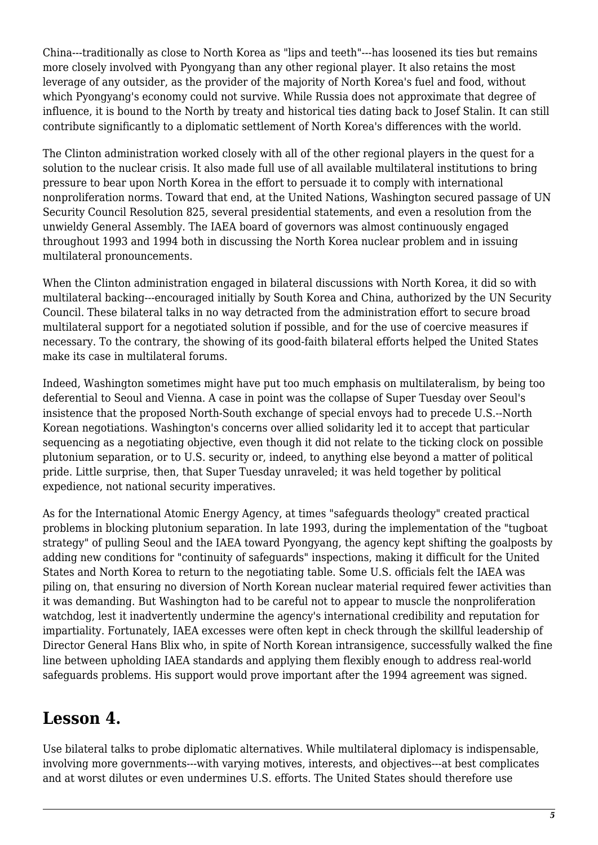China---traditionally as close to North Korea as "lips and teeth"---has loosened its ties but remains more closely involved with Pyongyang than any other regional player. It also retains the most leverage of any outsider, as the provider of the majority of North Korea's fuel and food, without which Pyongyang's economy could not survive. While Russia does not approximate that degree of influence, it is bound to the North by treaty and historical ties dating back to Josef Stalin. It can still contribute significantly to a diplomatic settlement of North Korea's differences with the world.

The Clinton administration worked closely with all of the other regional players in the quest for a solution to the nuclear crisis. It also made full use of all available multilateral institutions to bring pressure to bear upon North Korea in the effort to persuade it to comply with international nonproliferation norms. Toward that end, at the United Nations, Washington secured passage of UN Security Council Resolution 825, several presidential statements, and even a resolution from the unwieldy General Assembly. The IAEA board of governors was almost continuously engaged throughout 1993 and 1994 both in discussing the North Korea nuclear problem and in issuing multilateral pronouncements.

When the Clinton administration engaged in bilateral discussions with North Korea, it did so with multilateral backing---encouraged initially by South Korea and China, authorized by the UN Security Council. These bilateral talks in no way detracted from the administration effort to secure broad multilateral support for a negotiated solution if possible, and for the use of coercive measures if necessary. To the contrary, the showing of its good-faith bilateral efforts helped the United States make its case in multilateral forums.

Indeed, Washington sometimes might have put too much emphasis on multilateralism, by being too deferential to Seoul and Vienna. A case in point was the collapse of Super Tuesday over Seoul's insistence that the proposed North-South exchange of special envoys had to precede U.S.--North Korean negotiations. Washington's concerns over allied solidarity led it to accept that particular sequencing as a negotiating objective, even though it did not relate to the ticking clock on possible plutonium separation, or to U.S. security or, indeed, to anything else beyond a matter of political pride. Little surprise, then, that Super Tuesday unraveled; it was held together by political expedience, not national security imperatives.

As for the International Atomic Energy Agency, at times "safeguards theology" created practical problems in blocking plutonium separation. In late 1993, during the implementation of the "tugboat strategy" of pulling Seoul and the IAEA toward Pyongyang, the agency kept shifting the goalposts by adding new conditions for "continuity of safeguards" inspections, making it difficult for the United States and North Korea to return to the negotiating table. Some U.S. officials felt the IAEA was piling on, that ensuring no diversion of North Korean nuclear material required fewer activities than it was demanding. But Washington had to be careful not to appear to muscle the nonproliferation watchdog, lest it inadvertently undermine the agency's international credibility and reputation for impartiality. Fortunately, IAEA excesses were often kept in check through the skillful leadership of Director General Hans Blix who, in spite of North Korean intransigence, successfully walked the fine line between upholding IAEA standards and applying them flexibly enough to address real-world safeguards problems. His support would prove important after the 1994 agreement was signed.

### **Lesson 4.**

Use bilateral talks to probe diplomatic alternatives. While multilateral diplomacy is indispensable, involving more governments---with varying motives, interests, and objectives---at best complicates and at worst dilutes or even undermines U.S. efforts. The United States should therefore use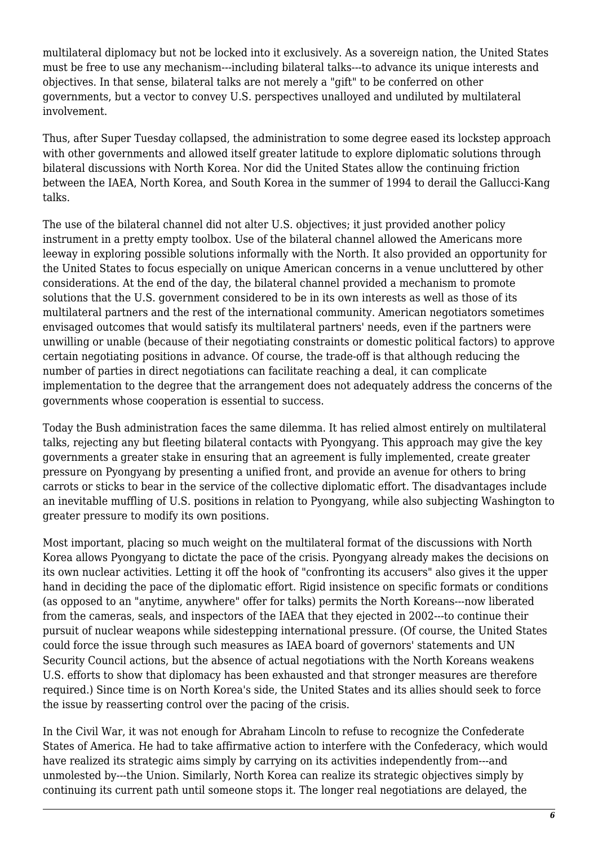multilateral diplomacy but not be locked into it exclusively. As a sovereign nation, the United States must be free to use any mechanism---including bilateral talks---to advance its unique interests and objectives. In that sense, bilateral talks are not merely a "gift" to be conferred on other governments, but a vector to convey U.S. perspectives unalloyed and undiluted by multilateral involvement.

Thus, after Super Tuesday collapsed, the administration to some degree eased its lockstep approach with other governments and allowed itself greater latitude to explore diplomatic solutions through bilateral discussions with North Korea. Nor did the United States allow the continuing friction between the IAEA, North Korea, and South Korea in the summer of 1994 to derail the Gallucci-Kang talks.

The use of the bilateral channel did not alter U.S. objectives; it just provided another policy instrument in a pretty empty toolbox. Use of the bilateral channel allowed the Americans more leeway in exploring possible solutions informally with the North. It also provided an opportunity for the United States to focus especially on unique American concerns in a venue uncluttered by other considerations. At the end of the day, the bilateral channel provided a mechanism to promote solutions that the U.S. government considered to be in its own interests as well as those of its multilateral partners and the rest of the international community. American negotiators sometimes envisaged outcomes that would satisfy its multilateral partners' needs, even if the partners were unwilling or unable (because of their negotiating constraints or domestic political factors) to approve certain negotiating positions in advance. Of course, the trade-off is that although reducing the number of parties in direct negotiations can facilitate reaching a deal, it can complicate implementation to the degree that the arrangement does not adequately address the concerns of the governments whose cooperation is essential to success.

Today the Bush administration faces the same dilemma. It has relied almost entirely on multilateral talks, rejecting any but fleeting bilateral contacts with Pyongyang. This approach may give the key governments a greater stake in ensuring that an agreement is fully implemented, create greater pressure on Pyongyang by presenting a unified front, and provide an avenue for others to bring carrots or sticks to bear in the service of the collective diplomatic effort. The disadvantages include an inevitable muffling of U.S. positions in relation to Pyongyang, while also subjecting Washington to greater pressure to modify its own positions.

Most important, placing so much weight on the multilateral format of the discussions with North Korea allows Pyongyang to dictate the pace of the crisis. Pyongyang already makes the decisions on its own nuclear activities. Letting it off the hook of "confronting its accusers" also gives it the upper hand in deciding the pace of the diplomatic effort. Rigid insistence on specific formats or conditions (as opposed to an "anytime, anywhere" offer for talks) permits the North Koreans---now liberated from the cameras, seals, and inspectors of the IAEA that they ejected in 2002---to continue their pursuit of nuclear weapons while sidestepping international pressure. (Of course, the United States could force the issue through such measures as IAEA board of governors' statements and UN Security Council actions, but the absence of actual negotiations with the North Koreans weakens U.S. efforts to show that diplomacy has been exhausted and that stronger measures are therefore required.) Since time is on North Korea's side, the United States and its allies should seek to force the issue by reasserting control over the pacing of the crisis.

In the Civil War, it was not enough for Abraham Lincoln to refuse to recognize the Confederate States of America. He had to take affirmative action to interfere with the Confederacy, which would have realized its strategic aims simply by carrying on its activities independently from---and unmolested by---the Union. Similarly, North Korea can realize its strategic objectives simply by continuing its current path until someone stops it. The longer real negotiations are delayed, the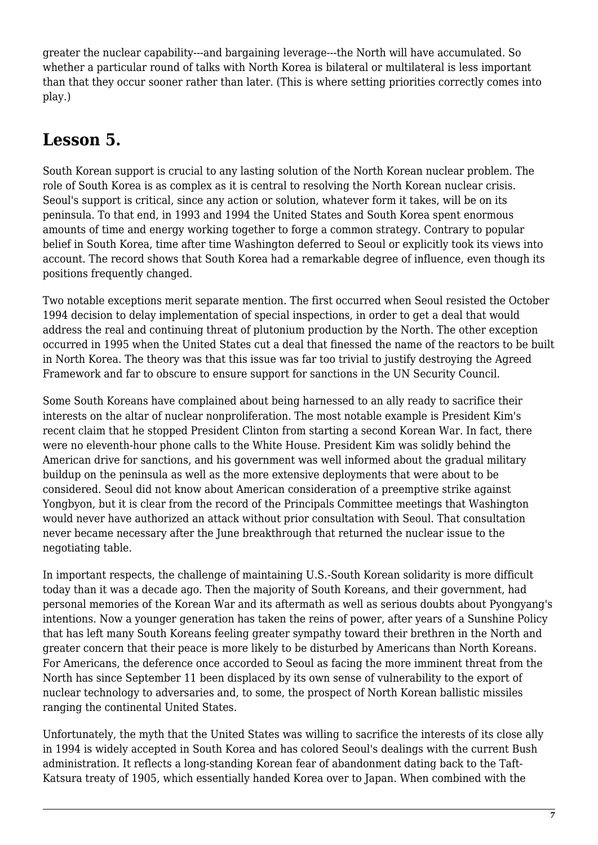greater the nuclear capability---and bargaining leverage---the North will have accumulated. So whether a particular round of talks with North Korea is bilateral or multilateral is less important than that they occur sooner rather than later. (This is where setting priorities correctly comes into play.)

### **Lesson 5.**

South Korean support is crucial to any lasting solution of the North Korean nuclear problem. The role of South Korea is as complex as it is central to resolving the North Korean nuclear crisis. Seoul's support is critical, since any action or solution, whatever form it takes, will be on its peninsula. To that end, in 1993 and 1994 the United States and South Korea spent enormous amounts of time and energy working together to forge a common strategy. Contrary to popular belief in South Korea, time after time Washington deferred to Seoul or explicitly took its views into account. The record shows that South Korea had a remarkable degree of influence, even though its positions frequently changed.

Two notable exceptions merit separate mention. The first occurred when Seoul resisted the October 1994 decision to delay implementation of special inspections, in order to get a deal that would address the real and continuing threat of plutonium production by the North. The other exception occurred in 1995 when the United States cut a deal that finessed the name of the reactors to be built in North Korea. The theory was that this issue was far too trivial to justify destroying the Agreed Framework and far to obscure to ensure support for sanctions in the UN Security Council.

Some South Koreans have complained about being harnessed to an ally ready to sacrifice their interests on the altar of nuclear nonproliferation. The most notable example is President Kim's recent claim that he stopped President Clinton from starting a second Korean War. In fact, there were no eleventh-hour phone calls to the White House. President Kim was solidly behind the American drive for sanctions, and his government was well informed about the gradual military buildup on the peninsula as well as the more extensive deployments that were about to be considered. Seoul did not know about American consideration of a preemptive strike against Yongbyon, but it is clear from the record of the Principals Committee meetings that Washington would never have authorized an attack without prior consultation with Seoul. That consultation never became necessary after the June breakthrough that returned the nuclear issue to the negotiating table.

In important respects, the challenge of maintaining U.S.-South Korean solidarity is more difficult today than it was a decade ago. Then the majority of South Koreans, and their government, had personal memories of the Korean War and its aftermath as well as serious doubts about Pyongyang's intentions. Now a younger generation has taken the reins of power, after years of a Sunshine Policy that has left many South Koreans feeling greater sympathy toward their brethren in the North and greater concern that their peace is more likely to be disturbed by Americans than North Koreans. For Americans, the deference once accorded to Seoul as facing the more imminent threat from the North has since September 11 been displaced by its own sense of vulnerability to the export of nuclear technology to adversaries and, to some, the prospect of North Korean ballistic missiles ranging the continental United States.

Unfortunately, the myth that the United States was willing to sacrifice the interests of its close ally in 1994 is widely accepted in South Korea and has colored Seoul's dealings with the current Bush administration. It reflects a long-standing Korean fear of abandonment dating back to the Taft-Katsura treaty of 1905, which essentially handed Korea over to Japan. When combined with the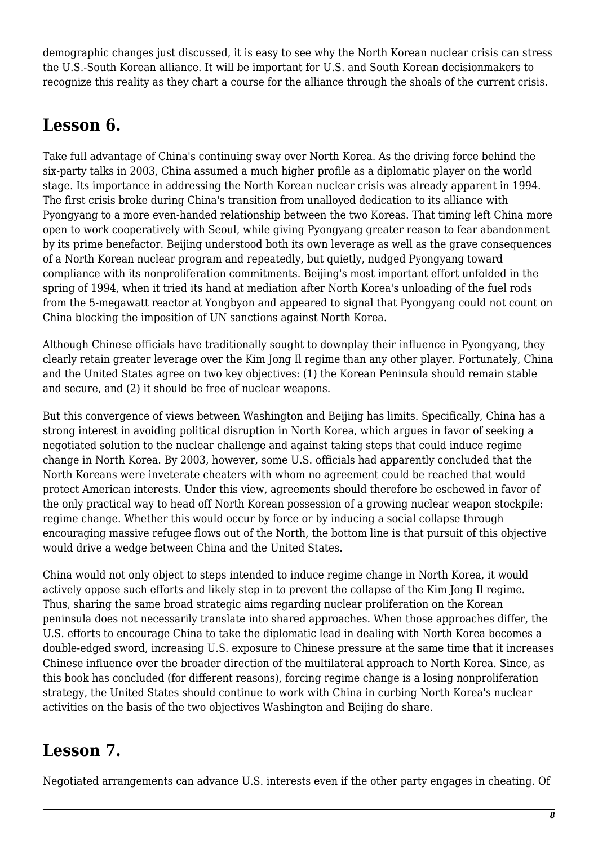demographic changes just discussed, it is easy to see why the North Korean nuclear crisis can stress the U.S.-South Korean alliance. It will be important for U.S. and South Korean decisionmakers to recognize this reality as they chart a course for the alliance through the shoals of the current crisis.

#### **Lesson 6.**

Take full advantage of China's continuing sway over North Korea. As the driving force behind the six-party talks in 2003, China assumed a much higher profile as a diplomatic player on the world stage. Its importance in addressing the North Korean nuclear crisis was already apparent in 1994. The first crisis broke during China's transition from unalloyed dedication to its alliance with Pyongyang to a more even-handed relationship between the two Koreas. That timing left China more open to work cooperatively with Seoul, while giving Pyongyang greater reason to fear abandonment by its prime benefactor. Beijing understood both its own leverage as well as the grave consequences of a North Korean nuclear program and repeatedly, but quietly, nudged Pyongyang toward compliance with its nonproliferation commitments. Beijing's most important effort unfolded in the spring of 1994, when it tried its hand at mediation after North Korea's unloading of the fuel rods from the 5-megawatt reactor at Yongbyon and appeared to signal that Pyongyang could not count on China blocking the imposition of UN sanctions against North Korea.

Although Chinese officials have traditionally sought to downplay their influence in Pyongyang, they clearly retain greater leverage over the Kim Jong Il regime than any other player. Fortunately, China and the United States agree on two key objectives: (1) the Korean Peninsula should remain stable and secure, and (2) it should be free of nuclear weapons.

But this convergence of views between Washington and Beijing has limits. Specifically, China has a strong interest in avoiding political disruption in North Korea, which argues in favor of seeking a negotiated solution to the nuclear challenge and against taking steps that could induce regime change in North Korea. By 2003, however, some U.S. officials had apparently concluded that the North Koreans were inveterate cheaters with whom no agreement could be reached that would protect American interests. Under this view, agreements should therefore be eschewed in favor of the only practical way to head off North Korean possession of a growing nuclear weapon stockpile: regime change. Whether this would occur by force or by inducing a social collapse through encouraging massive refugee flows out of the North, the bottom line is that pursuit of this objective would drive a wedge between China and the United States.

China would not only object to steps intended to induce regime change in North Korea, it would actively oppose such efforts and likely step in to prevent the collapse of the Kim Jong Il regime. Thus, sharing the same broad strategic aims regarding nuclear proliferation on the Korean peninsula does not necessarily translate into shared approaches. When those approaches differ, the U.S. efforts to encourage China to take the diplomatic lead in dealing with North Korea becomes a double-edged sword, increasing U.S. exposure to Chinese pressure at the same time that it increases Chinese influence over the broader direction of the multilateral approach to North Korea. Since, as this book has concluded (for different reasons), forcing regime change is a losing nonproliferation strategy, the United States should continue to work with China in curbing North Korea's nuclear activities on the basis of the two objectives Washington and Beijing do share.

### **Lesson 7.**

Negotiated arrangements can advance U.S. interests even if the other party engages in cheating. Of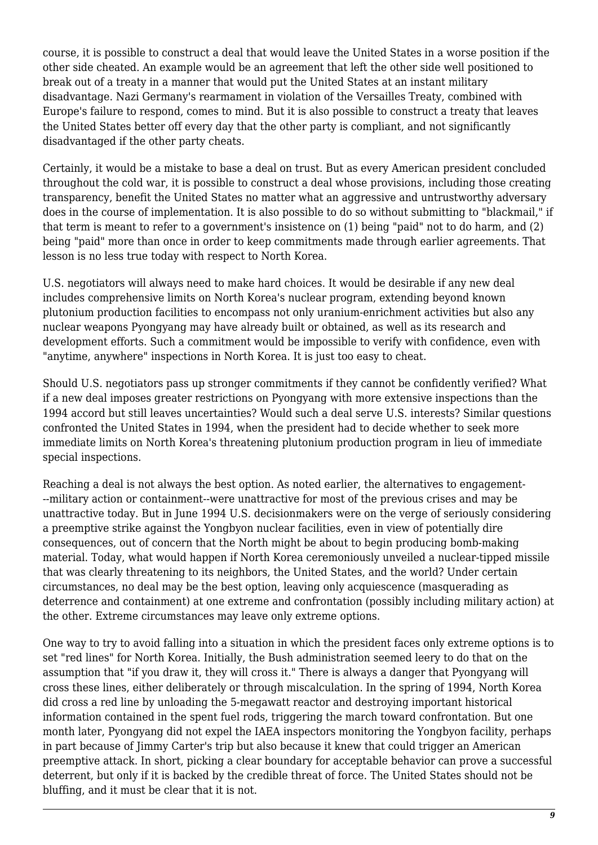course, it is possible to construct a deal that would leave the United States in a worse position if the other side cheated. An example would be an agreement that left the other side well positioned to break out of a treaty in a manner that would put the United States at an instant military disadvantage. Nazi Germany's rearmament in violation of the Versailles Treaty, combined with Europe's failure to respond, comes to mind. But it is also possible to construct a treaty that leaves the United States better off every day that the other party is compliant, and not significantly disadvantaged if the other party cheats.

Certainly, it would be a mistake to base a deal on trust. But as every American president concluded throughout the cold war, it is possible to construct a deal whose provisions, including those creating transparency, benefit the United States no matter what an aggressive and untrustworthy adversary does in the course of implementation. It is also possible to do so without submitting to "blackmail," if that term is meant to refer to a government's insistence on (1) being "paid" not to do harm, and (2) being "paid" more than once in order to keep commitments made through earlier agreements. That lesson is no less true today with respect to North Korea.

U.S. negotiators will always need to make hard choices. It would be desirable if any new deal includes comprehensive limits on North Korea's nuclear program, extending beyond known plutonium production facilities to encompass not only uranium-enrichment activities but also any nuclear weapons Pyongyang may have already built or obtained, as well as its research and development efforts. Such a commitment would be impossible to verify with confidence, even with "anytime, anywhere" inspections in North Korea. It is just too easy to cheat.

Should U.S. negotiators pass up stronger commitments if they cannot be confidently verified? What if a new deal imposes greater restrictions on Pyongyang with more extensive inspections than the 1994 accord but still leaves uncertainties? Would such a deal serve U.S. interests? Similar questions confronted the United States in 1994, when the president had to decide whether to seek more immediate limits on North Korea's threatening plutonium production program in lieu of immediate special inspections.

Reaching a deal is not always the best option. As noted earlier, the alternatives to engagement- --military action or containment--were unattractive for most of the previous crises and may be unattractive today. But in June 1994 U.S. decisionmakers were on the verge of seriously considering a preemptive strike against the Yongbyon nuclear facilities, even in view of potentially dire consequences, out of concern that the North might be about to begin producing bomb-making material. Today, what would happen if North Korea ceremoniously unveiled a nuclear-tipped missile that was clearly threatening to its neighbors, the United States, and the world? Under certain circumstances, no deal may be the best option, leaving only acquiescence (masquerading as deterrence and containment) at one extreme and confrontation (possibly including military action) at the other. Extreme circumstances may leave only extreme options.

<span id="page-8-0"></span>One way to try to avoid falling into a situation in which the president faces only extreme options is to set "red lines" for North Korea. Initially, the Bush administration seemed leery to do that on the assumption that "if you draw it, they will cross it." There is always a danger that Pyongyang will cross these lines, either deliberately or through miscalculation. In the spring of 1994, North Korea did cross a red line by unloading the 5-megawatt reactor and destroying important historical information contained in the spent fuel rods, triggering the march toward confrontation. But one month later, Pyongyang did not expel the IAEA inspectors monitoring the Yongbyon facility, perhaps in part because of Jimmy Carter's trip but also because it knew that could trigger an American preemptive attack. In short, picking a clear boundary for acceptable behavior can prove a successful deterrent, but only if it is backed by the credible threat of force. The United States should not be bluffing, and it must be clear that it is not.